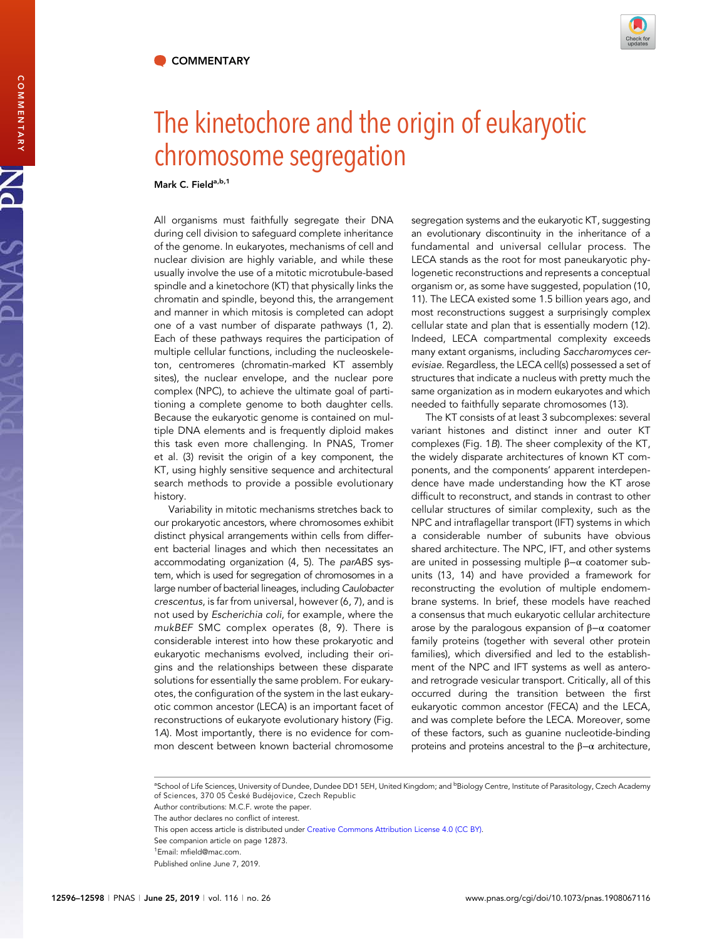

## The kinetochore and the origin of eukaryotic chromosome segregation

Mark C. Fielda,b,1

COMMENTARY COMMENTARY

PNAS

All organisms must faithfully segregate their DNA during cell division to safeguard complete inheritance of the genome. In eukaryotes, mechanisms of cell and nuclear division are highly variable, and while these usually involve the use of a mitotic microtubule-based spindle and a kinetochore (KT) that physically links the chromatin and spindle, beyond this, the arrangement and manner in which mitosis is completed can adopt one of a vast number of disparate pathways (1, 2). Each of these pathways requires the participation of multiple cellular functions, including the nucleoskeleton, centromeres (chromatin-marked KT assembly sites), the nuclear envelope, and the nuclear pore complex (NPC), to achieve the ultimate goal of partitioning a complete genome to both daughter cells. Because the eukaryotic genome is contained on multiple DNA elements and is frequently diploid makes this task even more challenging. In PNAS, Tromer et al. (3) revisit the origin of a key component, the KT, using highly sensitive sequence and architectural search methods to provide a possible evolutionary history.

Variability in mitotic mechanisms stretches back to our prokaryotic ancestors, where chromosomes exhibit distinct physical arrangements within cells from different bacterial linages and which then necessitates an accommodating organization (4, 5). The parABS system, which is used for segregation of chromosomes in a large number of bacterial lineages, including Caulobacter crescentus, is far from universal, however (6, 7), and is not used by Escherichia coli, for example, where the mukBEF SMC complex operates (8, 9). There is considerable interest into how these prokaryotic and eukaryotic mechanisms evolved, including their origins and the relationships between these disparate solutions for essentially the same problem. For eukaryotes, the configuration of the system in the last eukaryotic common ancestor (LECA) is an important facet of reconstructions of eukaryote evolutionary history (Fig. 1A). Most importantly, there is no evidence for common descent between known bacterial chromosome

segregation systems and the eukaryotic KT, suggesting an evolutionary discontinuity in the inheritance of a fundamental and universal cellular process. The LECA stands as the root for most paneukaryotic phylogenetic reconstructions and represents a conceptual organism or, as some have suggested, population (10, 11). The LECA existed some 1.5 billion years ago, and most reconstructions suggest a surprisingly complex cellular state and plan that is essentially modern (12). Indeed, LECA compartmental complexity exceeds many extant organisms, including Saccharomyces cerevisiae. Regardless, the LECA cell(s) possessed a set of structures that indicate a nucleus with pretty much the same organization as in modern eukaryotes and which needed to faithfully separate chromosomes (13).

The KT consists of at least 3 subcomplexes: several variant histones and distinct inner and outer KT complexes (Fig. 1B). The sheer complexity of the KT, the widely disparate architectures of known KT components, and the components' apparent interdependence have made understanding how the KT arose difficult to reconstruct, and stands in contrast to other cellular structures of similar complexity, such as the NPC and intraflagellar transport (IFT) systems in which a considerable number of subunits have obvious shared architecture. The NPC, IFT, and other systems are united in possessing multiple  $β-α$  coatomer subunits (13, 14) and have provided a framework for reconstructing the evolution of multiple endomembrane systems. In brief, these models have reached a consensus that much eukaryotic cellular architecture arose by the paralogous expansion of  $β-α$  coatomer family proteins (together with several other protein families), which diversified and led to the establishment of the NPC and IFT systems as well as anteroand retrograde vesicular transport. Critically, all of this occurred during the transition between the first eukaryotic common ancestor (FECA) and the LECA, and was complete before the LECA. Moreover, some of these factors, such as guanine nucleotide-binding proteins and proteins ancestral to the β−α architecture,

<sup>a</sup>School of Life Sciences, University of Dundee, Dundee DD1 5EH, United Kingdom; and <sup>b</sup>Biology Centre, Institute of Parasitology, Czech Academy of Sciences, 370 05 České Budějovice, Czech Republic

Author contributions: M.C.F. wrote the paper.

The author declares no conflict of interest.

This open access article is distributed under [Creative Commons Attribution License 4.0 \(CC BY\)](http://creativecommons.org/licenses/by/4.0/).

See companion article on page 12873.

1 Email: [mfield@mac.com](mailto:mfield@mac.com).

Published online June 7, 2019.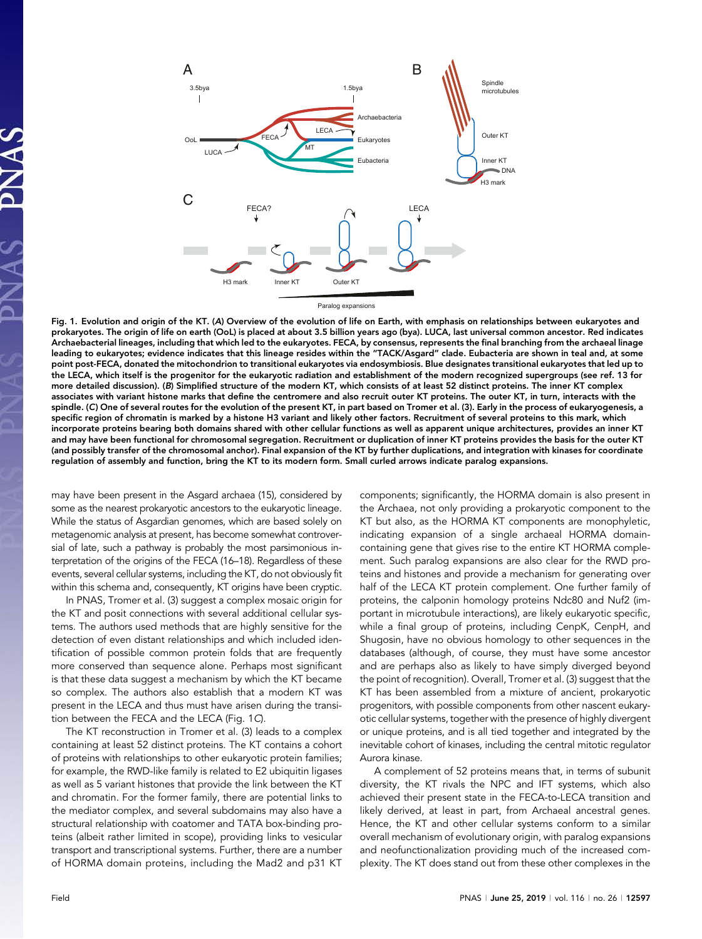

Fig. 1. Evolution and origin of the KT. (A) Overview of the evolution of life on Earth, with emphasis on relationships between eukaryotes and prokaryotes. The origin of life on earth (OoL) is placed at about 3.5 billion years ago (bya). LUCA, last universal common ancestor. Red indicates Archaebacterial lineages, including that which led to the eukaryotes. FECA, by consensus, represents the final branching from the archaeal linage leading to eukaryotes; evidence indicates that this lineage resides within the "TACK/Asgard" clade. Eubacteria are shown in teal and, at some point post-FECA, donated the mitochondrion to transitional eukaryotes via endosymbiosis. Blue designates transitional eukaryotes that led up to the LECA, which itself is the progenitor for the eukaryotic radiation and establishment of the modern recognized supergroups (see ref. 13 for more detailed discussion). (B) Simplified structure of the modern KT, which consists of at least 52 distinct proteins. The inner KT complex associates with variant histone marks that define the centromere and also recruit outer KT proteins. The outer KT, in turn, interacts with the spindle. (C) One of several routes for the evolution of the present KT, in part based on Tromer et al. (3). Early in the process of eukaryogenesis, a specific region of chromatin is marked by a histone H3 variant and likely other factors. Recruitment of several proteins to this mark, which incorporate proteins bearing both domains shared with other cellular functions as well as apparent unique architectures, provides an inner KT and may have been functional for chromosomal segregation. Recruitment or duplication of inner KT proteins provides the basis for the outer KT (and possibly transfer of the chromosomal anchor). Final expansion of the KT by further duplications, and integration with kinases for coordinate regulation of assembly and function, bring the KT to its modern form. Small curled arrows indicate paralog expansions.

may have been present in the Asgard archaea (15), considered by some as the nearest prokaryotic ancestors to the eukaryotic lineage. While the status of Asgardian genomes, which are based solely on metagenomic analysis at present, has become somewhat controversial of late, such a pathway is probably the most parsimonious interpretation of the origins of the FECA (16–18). Regardless of these events, several cellular systems, including the KT, do not obviously fit within this schema and, consequently, KT origins have been cryptic.

In PNAS, Tromer et al. (3) suggest a complex mosaic origin for the KT and posit connections with several additional cellular systems. The authors used methods that are highly sensitive for the detection of even distant relationships and which included identification of possible common protein folds that are frequently more conserved than sequence alone. Perhaps most significant is that these data suggest a mechanism by which the KT became so complex. The authors also establish that a modern KT was present in the LECA and thus must have arisen during the transition between the FECA and the LECA (Fig. 1C).

The KT reconstruction in Tromer et al. (3) leads to a complex containing at least 52 distinct proteins. The KT contains a cohort of proteins with relationships to other eukaryotic protein families; for example, the RWD-like family is related to E2 ubiquitin ligases as well as 5 variant histones that provide the link between the KT and chromatin. For the former family, there are potential links to the mediator complex, and several subdomains may also have a structural relationship with coatomer and TATA box-binding proteins (albeit rather limited in scope), providing links to vesicular transport and transcriptional systems. Further, there are a number of HORMA domain proteins, including the Mad2 and p31 KT

components; significantly, the HORMA domain is also present in the Archaea, not only providing a prokaryotic component to the KT but also, as the HORMA KT components are monophyletic, indicating expansion of a single archaeal HORMA domaincontaining gene that gives rise to the entire KT HORMA complement. Such paralog expansions are also clear for the RWD proteins and histones and provide a mechanism for generating over half of the LECA KT protein complement. One further family of proteins, the calponin homology proteins Ndc80 and Nuf2 (important in microtubule interactions), are likely eukaryotic specific, while a final group of proteins, including CenpK, CenpH, and Shugosin, have no obvious homology to other sequences in the databases (although, of course, they must have some ancestor and are perhaps also as likely to have simply diverged beyond the point of recognition). Overall, Tromer et al. (3) suggest that the KT has been assembled from a mixture of ancient, prokaryotic progenitors, with possible components from other nascent eukaryotic cellular systems, together with the presence of highly divergent or unique proteins, and is all tied together and integrated by the inevitable cohort of kinases, including the central mitotic regulator Aurora kinase.

A complement of 52 proteins means that, in terms of subunit diversity, the KT rivals the NPC and IFT systems, which also achieved their present state in the FECA-to-LECA transition and likely derived, at least in part, from Archaeal ancestral genes. Hence, the KT and other cellular systems conform to a similar overall mechanism of evolutionary origin, with paralog expansions and neofunctionalization providing much of the increased complexity. The KT does stand out from these other complexes in the